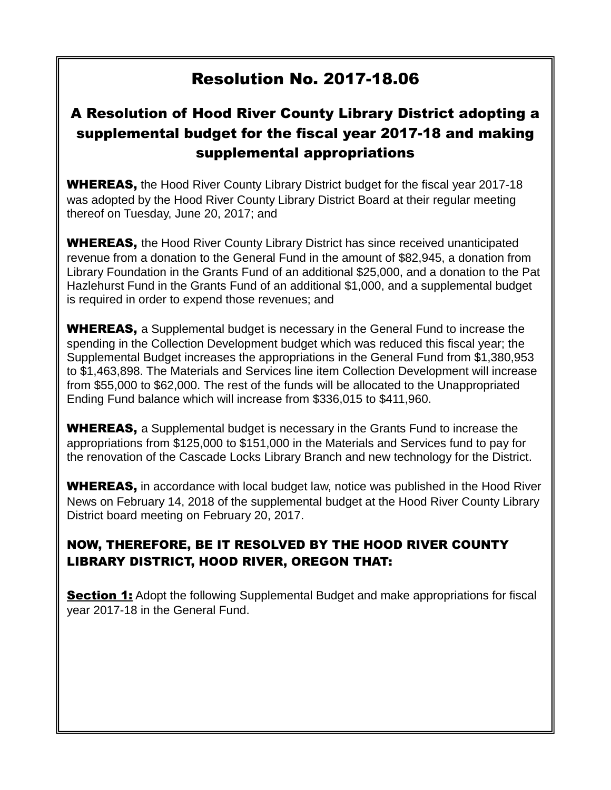# Resolution No. 2017-18.06

# A Resolution of Hood River County Library District adopting a supplemental budget for the fiscal year 2017-18 and making supplemental appropriations

**WHEREAS,** the Hood River County Library District budget for the fiscal year 2017-18 was adopted by the Hood River County Library District Board at their regular meeting thereof on Tuesday, June 20, 2017; and

**WHEREAS,** the Hood River County Library District has since received unanticipated revenue from a donation to the General Fund in the amount of \$82,945, a donation from Library Foundation in the Grants Fund of an additional \$25,000, and a donation to the Pat Hazlehurst Fund in the Grants Fund of an additional \$1,000, and a supplemental budget is required in order to expend those revenues; and

**WHEREAS,** a Supplemental budget is necessary in the General Fund to increase the spending in the Collection Development budget which was reduced this fiscal year; the Supplemental Budget increases the appropriations in the General Fund from \$1,380,953 to \$1,463,898. The Materials and Services line item Collection Development will increase from \$55,000 to \$62,000. The rest of the funds will be allocated to the Unappropriated Ending Fund balance which will increase from \$336,015 to \$411,960.

**WHEREAS,** a Supplemental budget is necessary in the Grants Fund to increase the appropriations from \$125,000 to \$151,000 in the Materials and Services fund to pay for the renovation of the Cascade Locks Library Branch and new technology for the District.

**WHEREAS,** in accordance with local budget law, notice was published in the Hood River News on February 14, 2018 of the supplemental budget at the Hood River County Library District board meeting on February 20, 2017.

# NOW, THEREFORE, BE IT RESOLVED BY THE HOOD RIVER COUNTY LIBRARY DISTRICT, HOOD RIVER, OREGON THAT:

**Section 1:** Adopt the following Supplemental Budget and make appropriations for fiscal year 2017-18 in the General Fund.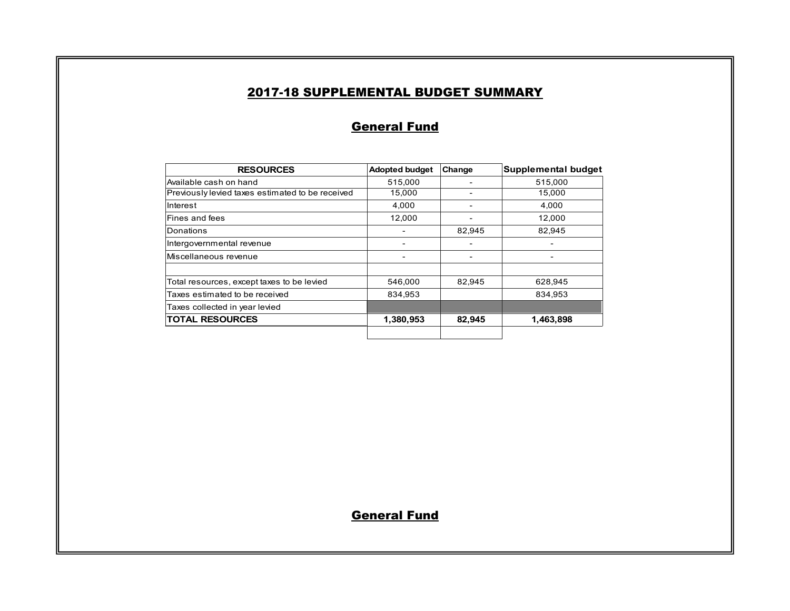#### 2017-18 SUPPLEMENTAL BUDGET SUMMARY

### **General Fund**

| <b>RESOURCES</b>                                 | <b>Adopted budget</b> | Change | Supplemental budget |
|--------------------------------------------------|-----------------------|--------|---------------------|
| Available cash on hand                           | 515,000               |        | 515,000             |
| Previously levied taxes estimated to be received | 15,000                |        | 15,000              |
| Interest                                         | 4.000                 |        | 4,000               |
| Fines and fees                                   | 12,000                |        | 12,000              |
| Donations                                        |                       | 82,945 | 82,945              |
| Intergovernmental revenue                        |                       |        |                     |
| Miscellaneous revenue                            |                       |        |                     |
| Total resources, except taxes to be levied       | 546,000               | 82,945 | 628.945             |
| Taxes estimated to be received                   | 834.953               |        | 834,953             |
| Taxes collected in year levied                   |                       |        |                     |
| <b>TOTAL RESOURCES</b>                           | 1,380,953             | 82,945 | 1,463,898           |
|                                                  |                       |        |                     |

**General Fund**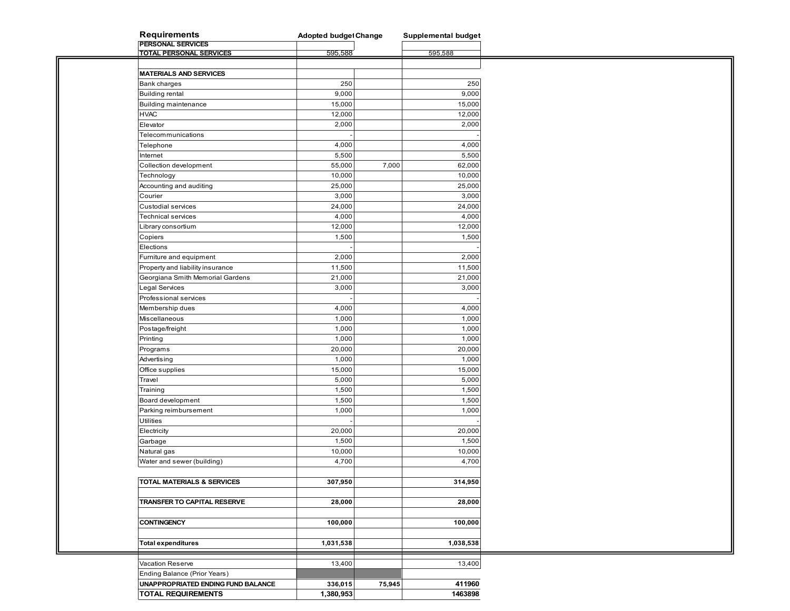| <b>Requirements</b>                | <b>Adopted budget Change</b> |        | Supplemental budget |
|------------------------------------|------------------------------|--------|---------------------|
| <b>PERSONAL SERVICES</b>           |                              |        |                     |
| <b>TOTAL PERSONAL SERVICES</b>     | 595,588                      |        | 595,588             |
|                                    |                              |        |                     |
| <b>MATERIALS AND SERVICES</b>      |                              |        |                     |
| Bank charges                       | 250                          |        | 250                 |
| <b>Building rental</b>             | 9,000                        |        | 9,000               |
| Building maintenance               | 15,000                       |        | 15,000              |
| <b>HVAC</b>                        | 12,000                       |        | 12,000              |
| Elevator                           | 2,000                        |        | 2,000               |
| Telecommunications                 |                              |        |                     |
| Telephone                          | 4,000                        |        | 4,000               |
|                                    | 5,500                        |        | 5,500               |
| Internet                           |                              |        |                     |
| Collection development             | 55,000                       | 7,000  | 62,000              |
| Technology                         | 10,000                       |        | 10,000              |
| Accounting and auditing            | 25,000                       |        | 25,000              |
| Courier                            | 3,000                        |        | 3,000               |
| Custodial services                 | 24,000                       |        | 24,000              |
| Technical services                 | 4,000                        |        | 4,000               |
| Library consortium                 | 12,000                       |        | 12,000              |
| Copiers                            | 1,500                        |        | 1,500               |
| Elections                          |                              |        |                     |
| Furniture and equipment            | 2,000                        |        | 2,000               |
| Property and liability insurance   | 11,500                       |        | 11,500              |
|                                    |                              |        |                     |
| Georgiana Smith Memorial Gardens   | 21,000                       |        | 21,000              |
| Legal Services                     | 3,000                        |        | 3,000               |
| Professional services              |                              |        |                     |
| Membership dues                    | 4,000                        |        | 4,000               |
| Miscellaneous                      | 1,000                        |        | 1,000               |
| Postage/freight                    | 1,000                        |        | 1,000               |
| Printing                           | 1,000                        |        | 1,000               |
| Programs                           | 20,000                       |        | 20,000              |
| Advertising                        | 1,000                        |        | 1,000               |
| Office supplies                    | 15,000                       |        | 15,000              |
| Travel                             | 5,000                        |        | 5,000               |
| Training                           | 1,500                        |        | 1,500               |
|                                    | 1,500                        |        | 1,500               |
| Board development                  |                              |        |                     |
| Parking reimbursement              | 1,000                        |        | 1,000               |
| <b>Utilities</b>                   |                              |        |                     |
| Electricity                        | 20,000                       |        | 20,000              |
| Garbage                            | 1,500                        |        | 1,500               |
| Natural gas                        | 10,000                       |        | 10,000              |
| Water and sewer (building)         | 4,700                        |        | 4,700               |
|                                    |                              |        |                     |
| TOTAL MATERIALS & SERVICES         | 307,950                      |        | 314,950             |
|                                    |                              |        |                     |
| TRANSFER TO CAPITAL RESERVE        | 28,000                       |        | 28,000              |
|                                    |                              |        |                     |
|                                    |                              |        |                     |
| <b>CONTINGENCY</b>                 | 100,000                      |        | 100,000             |
|                                    |                              |        |                     |
| <b>Total expenditures</b>          | 1,031,538                    |        | 1,038,538           |
|                                    |                              |        |                     |
| Vacation Reserve                   | 13,400                       |        | 13,400              |
| Ending Balance (Prior Years)       |                              |        |                     |
| UNAPPROPRIATED ENDING FUND BALANCE | 336,015                      | 75,945 | 411960              |
| <b>TOTAL REQUIREMENTS</b>          | 1,380,953                    |        | 1463898             |
|                                    |                              |        |                     |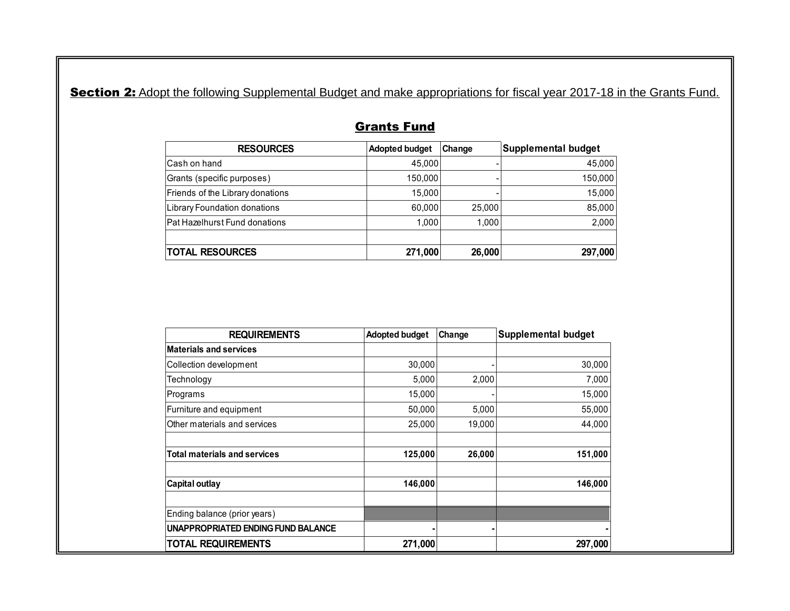Section 2: Adopt the following Supplemental Budget and make appropriations for fiscal year 2017-18 in the Grants Fund.

| <b>RESOURCES</b>                 | <b>Adopted budget</b> | Change | <b>Supplemental budget</b> |
|----------------------------------|-----------------------|--------|----------------------------|
| lCash on hand                    | 45.000                |        | 45,000                     |
| Grants (specific purposes)       | 150,000               |        | 150,000                    |
| Friends of the Library donations | 15.000                |        | 15,000                     |
| Library Foundation donations     | 60.000                | 25,000 | 85,000                     |
| Pat Hazelhurst Fund donations    | 1.000                 | 1.000  | 2,000                      |
|                                  |                       |        |                            |
| <b>TOTAL RESOURCES</b>           | 271,000               | 26,000 | 297,000                    |

# Grants Fund

| <b>REQUIREMENTS</b>                 | <b>Adopted budget</b> | Change | <b>Supplemental budget</b> |
|-------------------------------------|-----------------------|--------|----------------------------|
| <b>Materials and services</b>       |                       |        |                            |
| Collection development              | 30,000                |        | 30,000                     |
| Technology                          | 5,000                 | 2,000  | 7,000                      |
| Programs                            | 15,000                |        | 15,000                     |
| Furniture and equipment             | 50,000                | 5,000  | 55,000                     |
| Other materials and services        | 25,000                | 19,000 | 44,000                     |
| <b>Total materials and services</b> | 125,000               | 26,000 | 151,000                    |
| <b>Capital outlay</b>               | 146,000               |        | 146,000                    |
| Ending balance (prior years)        |                       |        |                            |
| UNAPPROPRIATED ENDING FUND BALANCE  |                       |        |                            |
| <b>TOTAL REQUIREMENTS</b>           | 271,000               |        | 297,000                    |